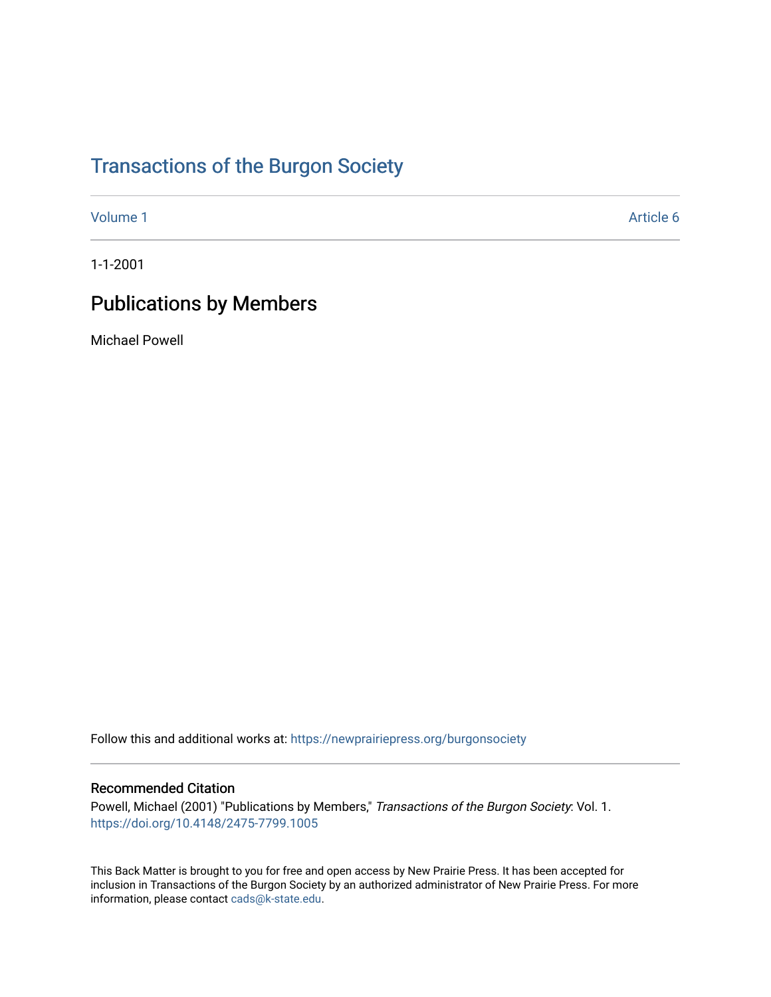# [Transactions of the Burgon Society](https://newprairiepress.org/burgonsociety)

[Volume 1](https://newprairiepress.org/burgonsociety/vol1) Article 6

1-1-2001

# Publications by Members

Michael Powell

Follow this and additional works at: [https://newprairiepress.org/burgonsociety](https://newprairiepress.org/burgonsociety?utm_source=newprairiepress.org%2Fburgonsociety%2Fvol1%2Fiss1%2F6&utm_medium=PDF&utm_campaign=PDFCoverPages)

#### Recommended Citation

Powell, Michael (2001) "Publications by Members," Transactions of the Burgon Society: Vol. 1. [https://doi.org/10.4148/2475-7799.1005](https://dx.doi.org/10.4148/2475-7799.1005) 

This Back Matter is brought to you for free and open access by New Prairie Press. It has been accepted for inclusion in Transactions of the Burgon Society by an authorized administrator of New Prairie Press. For more information, please contact [cads@k-state.edu](mailto:cads@k-state.edu).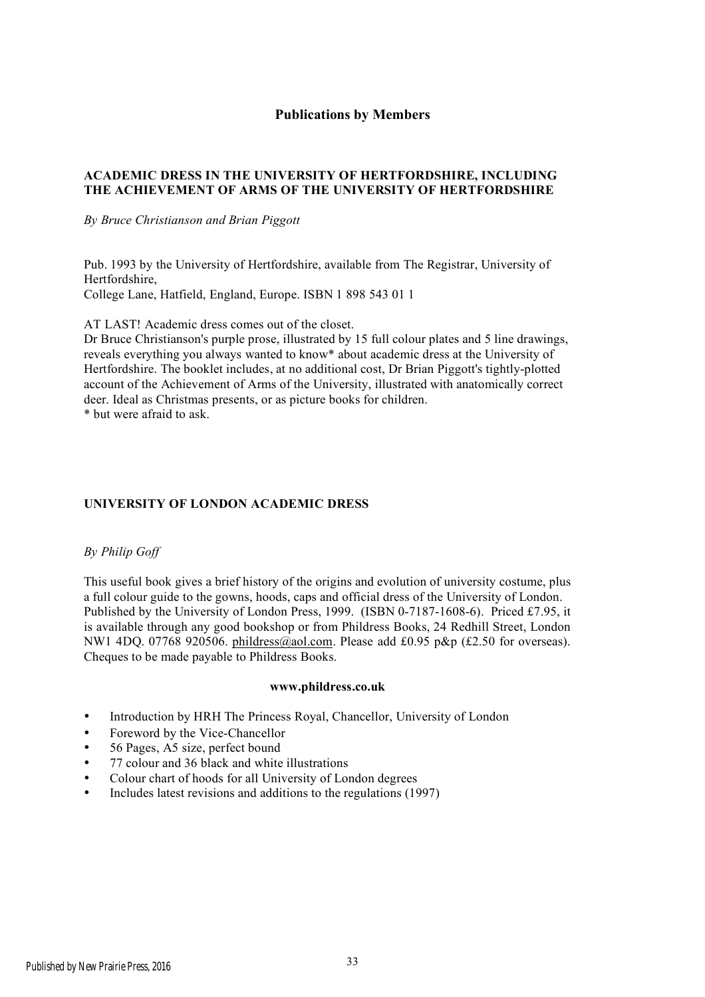## **Publications by Members**

### **ACADEMIC DRESS IN THE UNIVERSITY OF HERTFORDSHIRE, INCLUDING THE ACHIEVEMENT OF ARMS OF THE UNIVERSITY OF HERTFORDSHIRE**

#### *By Bruce Christianson and Brian Piggott*

Pub. 1993 by the University of Hertfordshire, available from The Registrar, University of Hertfordshire, College Lane, Hatfield, England, Europe. ISBN 1 898 543 01 1

AT LAST! Academic dress comes out of the closet.

Dr Bruce Christianson's purple prose, illustrated by 15 full colour plates and 5 line drawings, reveals everything you always wanted to know\* about academic dress at the University of Hertfordshire. The booklet includes, at no additional cost, Dr Brian Piggott's tightly-plotted account of the Achievement of Arms of the University, illustrated with anatomically correct deer. Ideal as Christmas presents, or as picture books for children. \* but were afraid to ask.

### **UNIVERSITY OF LONDON ACADEMIC DRESS**

#### *By Philip Goff*

This useful book gives a brief history of the origins and evolution of university costume, plus a full colour guide to the gowns, hoods, caps and official dress of the University of London. Published by the University of London Press, 1999. (ISBN 0-7187-1608-6). Priced £7.95, it is available through any good bookshop or from Phildress Books, 24 Redhill Street, London NW1 4DQ. 07768 920506. phildress@aol.com. Please add £0.95 p&p (£2.50 for overseas). Cheques to be made payable to Phildress Books.

#### **www.phildress.co.uk**

- Introduction by HRH The Princess Royal, Chancellor, University of London
- Foreword by the Vice-Chancellor
- 56 Pages, A5 size, perfect bound
- 77 colour and 36 black and white illustrations
- Colour chart of hoods for all University of London degrees
- Includes latest revisions and additions to the regulations (1997)